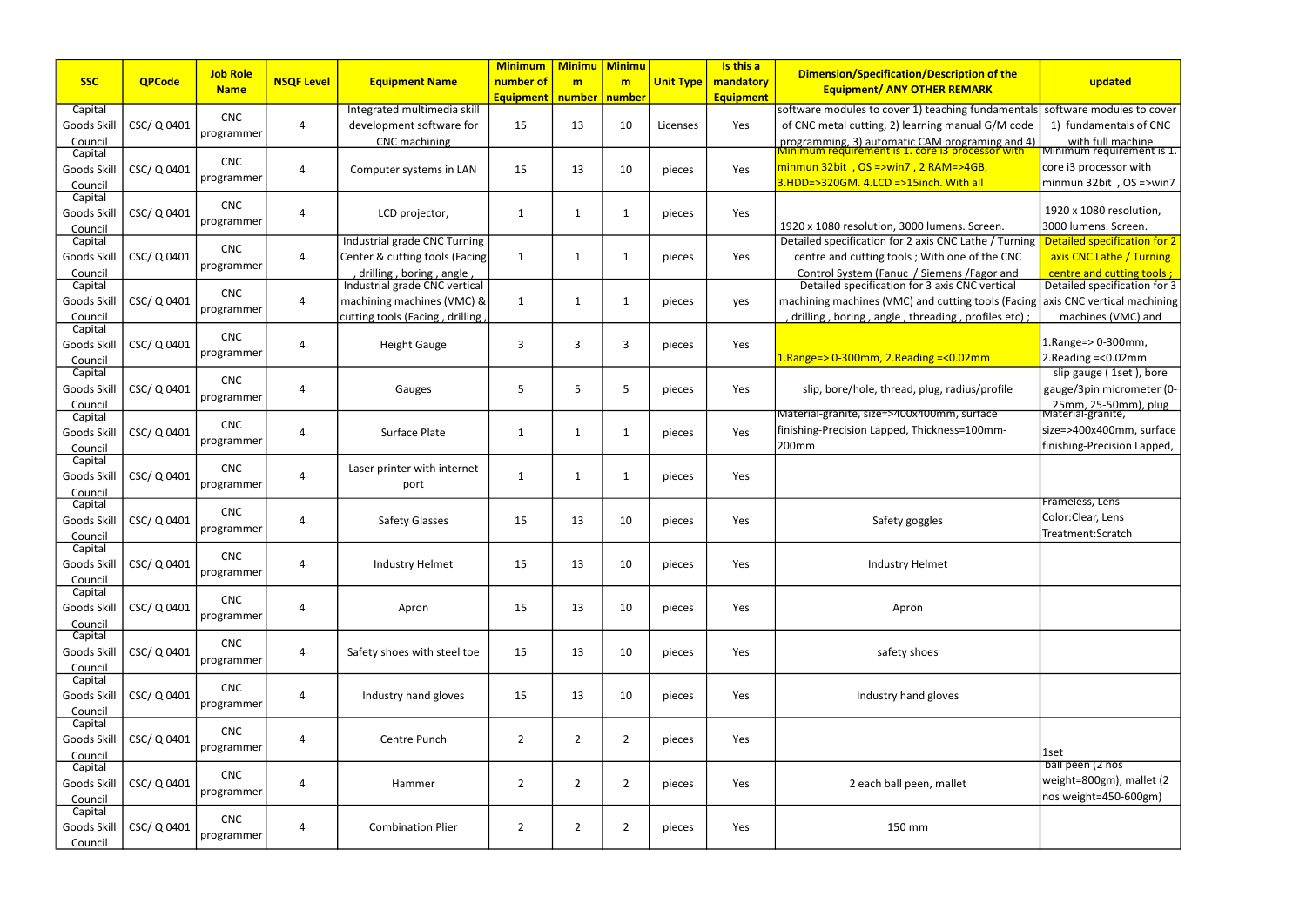|                    |               |                 |                   |                                                           | <b>Minimum</b>   | <b>Minimu</b>   | <b>Minimu</b>  |                  | Is this a        |                                                                                                     |                                                           |
|--------------------|---------------|-----------------|-------------------|-----------------------------------------------------------|------------------|-----------------|----------------|------------------|------------------|-----------------------------------------------------------------------------------------------------|-----------------------------------------------------------|
| <b>SSC</b>         | <b>QPCode</b> | <b>Job Role</b> | <b>NSQF Level</b> | <b>Equipment Name</b>                                     | number of        | m               | m              | <b>Unit Type</b> | mandatory        | Dimension/Specification/Description of the                                                          | updated                                                   |
|                    |               | <b>Name</b>     |                   |                                                           | <b>Equipment</b> | number   number |                |                  | <b>Equipment</b> | <b>Equipment/ ANY OTHER REMARK</b>                                                                  |                                                           |
| Capital            |               |                 |                   | Integrated multimedia skill                               |                  |                 |                |                  |                  | software modules to cover 1) teaching fundamentals                                                  | software modules to cover                                 |
| Goods Skill        | CSC/Q0401     | <b>CNC</b>      | 4                 | development software for                                  | 15               | 13              | 10             | Licenses         | Yes              | of CNC metal cutting, 2) learning manual G/M code                                                   | 1) fundamentals of CNC                                    |
| Council            |               | programmer      |                   | CNC machining                                             |                  |                 |                |                  |                  | programming, 3) automatic CAM programing and 4)<br>Minimum requirement is 1. core is processor with | with full machine                                         |
| Capital            |               | <b>CNC</b>      |                   |                                                           |                  |                 |                |                  |                  |                                                                                                     | Minimum requirement is 1.                                 |
| Goods Skill        | CSC/Q0401     |                 | $\overline{4}$    | Computer systems in LAN                                   | 15               | 13              | 10             | pieces           | Yes              | $\frac{1}{2}$ minmun 32bit, OS = > win 7, 2 RAM = > 4GB,                                            | core i3 processor with                                    |
| Council            |               | programmer      |                   |                                                           |                  |                 |                |                  |                  | $3.HDD = > 320GM.$ 4.LCD = > 15inch. With all                                                       | minmun 32bit, OS =>win7                                   |
| Capital            |               | <b>CNC</b>      |                   |                                                           |                  |                 |                |                  |                  |                                                                                                     |                                                           |
| Goods Skill        | CSC/Q0401     | programmer      | $\overline{4}$    | LCD projector,                                            | 1                | -1              | 1              | pieces           | Yes              |                                                                                                     | 1920 x 1080 resolution,                                   |
| Council            |               |                 |                   |                                                           |                  |                 |                |                  |                  | 1920 x 1080 resolution, 3000 lumens. Screen.                                                        | 3000 lumens. Screen.                                      |
| Capital            |               | <b>CNC</b>      |                   | Industrial grade CNC Turning                              |                  |                 |                |                  |                  | Detailed specification for 2 axis CNC Lathe / Turning                                               | Detailed specification for 2                              |
| Goods Skill        | CSC/Q0401     | programmer      | 4                 | Center & cutting tools (Facing                            | -1               |                 |                | pieces           | Yes              | centre and cutting tools; With one of the CNC                                                       | axis CNC Lathe / Turning                                  |
| Council            |               |                 |                   | drilling, boring, angle,<br>Industrial grade CNC vertical |                  |                 |                |                  |                  | Control System (Fanuc / Siemens / Fagor and<br>Detailed specification for 3 axis CNC vertical       | centre and cutting tools;<br>Detailed specification for 3 |
| Capital            |               | <b>CNC</b>      |                   |                                                           |                  |                 |                |                  |                  |                                                                                                     |                                                           |
| Goods Skill        | CSC/Q0401     | programmer      | $\overline{4}$    | machining machines (VMC) &                                | $\mathbf 1$      |                 | -1             | pieces           | yes              | machining machines (VMC) and cutting tools (Facing                                                  | axis CNC vertical machining                               |
| Council<br>Capital |               |                 |                   | cutting tools (Facing, drilling                           |                  |                 |                |                  |                  | drilling, boring, angle, threading, profiles etc);                                                  | machines (VMC) and                                        |
| Goods Skill        | CSC/Q0401     | <b>CNC</b>      | 4                 | <b>Height Gauge</b>                                       | 3                | 3               | 3              | pieces           | Yes              |                                                                                                     | 1.Range=> 0-300mm,                                        |
| Council            |               | programmer      |                   |                                                           |                  |                 |                |                  |                  | $1.$ Range=> 0-300mm, 2.Reading =< 0.02mm                                                           | 2. Reading $=<0.02$ mm                                    |
| Capital            |               |                 |                   |                                                           |                  |                 |                |                  |                  |                                                                                                     | slip gauge (1set), bore                                   |
| Goods Skill        | CSC/ Q 0401   | <b>CNC</b>      | 4                 | Gauges                                                    | 5                | 5               | 5              | pieces           | Yes              | slip, bore/hole, thread, plug, radius/profile                                                       | gauge/3pin micrometer (0-                                 |
| Council            |               | programmer      |                   |                                                           |                  |                 |                |                  |                  |                                                                                                     | 25mm, 25-50mm), plug                                      |
| Capital            |               |                 |                   |                                                           |                  |                 |                |                  |                  | Material-granite, size=>400x400mm, surface                                                          | Material-granite,                                         |
| Goods Skill        | CSC/Q0401     | <b>CNC</b>      | 4                 | Surface Plate                                             | -1               | -1              | 1              | pieces           | Yes              | finishing-Precision Lapped, Thickness=100mm-                                                        | size=>400x400mm, surface                                  |
| Council            |               | programmer      |                   |                                                           |                  |                 |                |                  |                  | 200mm                                                                                               | finishing-Precision Lapped,                               |
| Capital            |               | <b>CNC</b>      |                   | Laser printer with internet                               |                  |                 |                |                  |                  |                                                                                                     |                                                           |
| Goods Skill        | CSC/Q0401     | programmer      | $\overline{4}$    | port                                                      | 1                | -1              | 1              | pieces           | Yes              |                                                                                                     |                                                           |
| Council            |               |                 |                   |                                                           |                  |                 |                |                  |                  |                                                                                                     | Frameless, Lens                                           |
| Capital            |               | <b>CNC</b>      |                   |                                                           |                  |                 |                |                  |                  |                                                                                                     | Color:Clear, Lens                                         |
| Goods Skill        | CSC/Q0401     | programmer      | $\overline{4}$    | <b>Safety Glasses</b>                                     | 15               | 13              | 10             | pieces           | Yes              | Safety goggles                                                                                      | Treatment:Scratch                                         |
| Council<br>Capital |               |                 |                   |                                                           |                  |                 |                |                  |                  |                                                                                                     |                                                           |
| Goods Skill        | CSC/Q0401     | <b>CNC</b>      | 4                 | <b>Industry Helmet</b>                                    | 15               | 13              | 10             | pieces           | Yes              | <b>Industry Helmet</b>                                                                              |                                                           |
| Council            |               | programmer      |                   |                                                           |                  |                 |                |                  |                  |                                                                                                     |                                                           |
| Capital            |               |                 |                   |                                                           |                  |                 |                |                  |                  |                                                                                                     |                                                           |
| Goods Skill        | CSC/Q0401     | <b>CNC</b>      | 4                 | Apron                                                     | 15               | 13              | 10             | pieces           | Yes              | Apron                                                                                               |                                                           |
| Council            |               | programmer      |                   |                                                           |                  |                 |                |                  |                  |                                                                                                     |                                                           |
| Capital            |               |                 |                   |                                                           |                  |                 |                |                  |                  |                                                                                                     |                                                           |
| Goods Skill        | CSC/Q0401     | <b>CNC</b>      | $\overline{4}$    | Safety shoes with steel toe                               | 15               | 13              | 10             | pieces           | Yes              | safety shoes                                                                                        |                                                           |
| Council            |               | programmer      |                   |                                                           |                  |                 |                |                  |                  |                                                                                                     |                                                           |
| Capital            |               | <b>CNC</b>      |                   |                                                           |                  |                 |                |                  |                  |                                                                                                     |                                                           |
| Goods Skill        | CSC/Q0401     | programmer      | 4                 | Industry hand gloves                                      | 15               | 13              | 10             | pieces           | Yes              | Industry hand gloves                                                                                |                                                           |
| Council            |               |                 |                   |                                                           |                  |                 |                |                  |                  |                                                                                                     |                                                           |
| Capital            |               | <b>CNC</b>      |                   |                                                           |                  |                 |                |                  |                  |                                                                                                     |                                                           |
| Goods Skill        | CSC/Q0401     | programmer      | 4                 | Centre Punch                                              | $\overline{2}$   | $\overline{2}$  | $\overline{2}$ | pieces           | Yes              |                                                                                                     |                                                           |
| Council            |               |                 |                   |                                                           |                  |                 |                |                  |                  |                                                                                                     | 1set <br>ball peen (2 nos                                 |
| Capital            |               | <b>CNC</b>      |                   |                                                           |                  |                 |                |                  |                  |                                                                                                     | weight=800gm), mallet (2                                  |
| Goods Skill        | CSC/ Q 0401   | programmer      | 4                 | Hammer                                                    | $\overline{2}$   | $\overline{2}$  | $\overline{2}$ | pieces           | Yes              | 2 each ball peen, mallet                                                                            | nos weight=450-600gm)                                     |
| Council<br>Capital |               |                 |                   |                                                           |                  |                 |                |                  |                  |                                                                                                     |                                                           |
| Goods Skill        | CSC/Q0401     | <b>CNC</b>      | 4                 | <b>Combination Plier</b>                                  | $\overline{2}$   | $\overline{2}$  | $\overline{2}$ | pieces           | Yes              | 150 mm                                                                                              |                                                           |
| Council            |               | programmer      |                   |                                                           |                  |                 |                |                  |                  |                                                                                                     |                                                           |